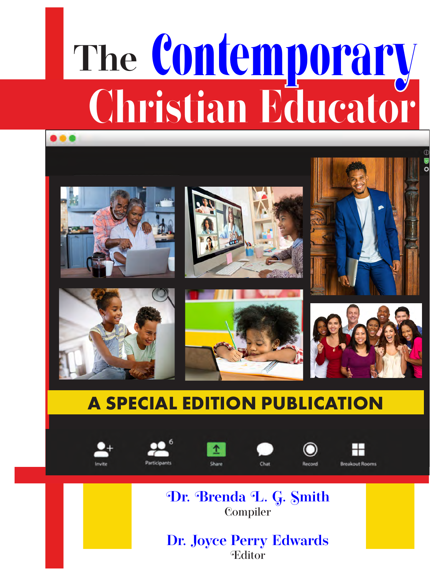# **Christian Educator The** Contemporary













# **A SPECIAL EDITION PUBLICATION**















**Dr. Brenda L. G. Smith** Compiler

**Dr. Joyce Perry Edwards** Editor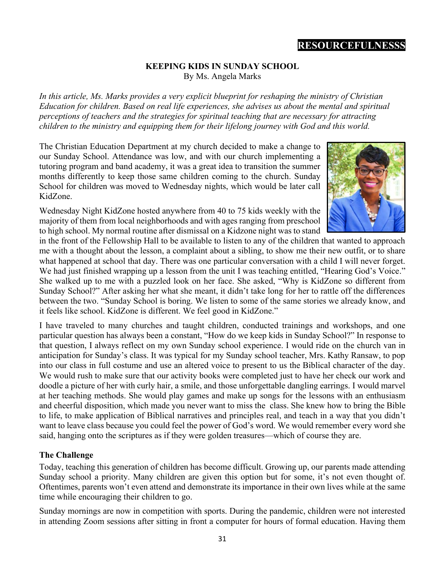# **RESOURCEFULNESSS**

#### **KEEPING KIDS IN SUNDAY SCHOOL** By Ms. Angela Marks

*In this article, Ms. Marks provides a very explicit blueprint for reshaping the ministry of Christian Education for children. Based on real life experiences, she advises us about the mental and spiritual perceptions of teachers and the strategies for spiritual teaching that are necessary for attracting children to the ministry and equipping them for their lifelong journey with God and this world.* 

The Christian Education Department at my church decided to make a change to our Sunday School. Attendance was low, and with our church implementing a tutoring program and band academy, it was a great idea to transition the summer months differently to keep those same children coming to the church. Sunday School for children was moved to Wednesday nights, which would be later call KidZone.

Wednesday Night KidZone hosted anywhere from 40 to 75 kids weekly with the majority of them from local neighborhoods and with ages ranging from preschool to high school. My normal routine after dismissal on a Kidzone night was to stand



in the front of the Fellowship Hall to be available to listen to any of the children that wanted to approach me with a thought about the lesson, a complaint about a sibling, to show me their new outfit, or to share what happened at school that day. There was one particular conversation with a child I will never forget. We had just finished wrapping up a lesson from the unit I was teaching entitled, "Hearing God's Voice." She walked up to me with a puzzled look on her face. She asked, "Why is KidZone so different from Sunday School?" After asking her what she meant, it didn't take long for her to rattle off the differences between the two. "Sunday School is boring. We listen to some of the same stories we already know, and it feels like school. KidZone is different. We feel good in KidZone."

I have traveled to many churches and taught children, conducted trainings and workshops, and one particular question has always been a constant, "How do we keep kids in Sunday School?" In response to that question, I always reflect on my own Sunday school experience. I would ride on the church van in anticipation for Sunday's class. It was typical for my Sunday school teacher, Mrs. Kathy Ransaw, to pop into our class in full costume and use an altered voice to present to us the Biblical character of the day. We would rush to make sure that our activity books were completed just to have her check our work and doodle a picture of her with curly hair, a smile, and those unforgettable dangling earrings. I would marvel at her teaching methods. She would play games and make up songs for the lessons with an enthusiasm and cheerful disposition, which made you never want to miss the class. She knew how to bring the Bible to life, to make application of Biblical narratives and principles real, and teach in a way that you didn't want to leave class because you could feel the power of God's word. We would remember every word she said, hanging onto the scriptures as if they were golden treasures—which of course they are.

#### **The Challenge**

Today, teaching this generation of children has become difficult. Growing up, our parents made attending Sunday school a priority. Many children are given this option but for some, it's not even thought of. Oftentimes, parents won't even attend and demonstrate its importance in their own lives while at the same time while encouraging their children to go.

Sunday mornings are now in competition with sports. During the pandemic, children were not interested in attending Zoom sessions after sitting in front a computer for hours of formal education. Having them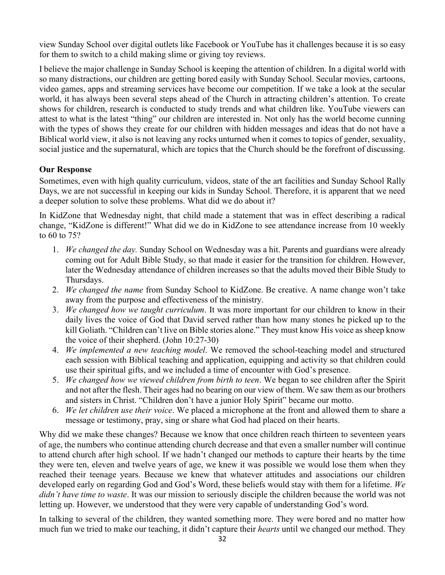view Sunday School over digital outlets like Facebook or YouTube has it challenges because it is so easy for them to switch to a child making slime or giving toy reviews.

I believe the major challenge in Sunday School is keeping the attention of children. In a digital world with so many distractions, our children are getting bored easily with Sunday School. Secular movies, cartoons, video games, apps and streaming services have become our competition. If we take a look at the secular world, it has always been several steps ahead of the Church in attracting children's attention. To create shows for children, research is conducted to study trends and what children like. YouTube viewers can attest to what is the latest "thing" our children are interested in. Not only has the world become cunning with the types of shows they create for our children with hidden messages and ideas that do not have a Biblical world view, it also is not leaving any rocks unturned when it comes to topics of gender, sexuality, social justice and the supernatural, which are topics that the Church should be the forefront of discussing.

# **Our Response**

Sometimes, even with high quality curriculum, videos, state of the art facilities and Sunday School Rally Days, we are not successful in keeping our kids in Sunday School. Therefore, it is apparent that we need a deeper solution to solve these problems. What did we do about it?

In KidZone that Wednesday night, that child made a statement that was in effect describing a radical change, "KidZone is different!" What did we do in KidZone to see attendance increase from 10 weekly to 60 to 75?

- 1. *We changed the day.* Sunday School on Wednesday was a hit. Parents and guardians were already coming out for Adult Bible Study, so that made it easier for the transition for children. However, later the Wednesday attendance of children increases so that the adults moved their Bible Study to Thursdays.
- 2. *We changed the name* from Sunday School to KidZone. Be creative. A name change won't take away from the purpose and effectiveness of the ministry.
- 3. *We changed how we taught curriculum*. It was more important for our children to know in their daily lives the voice of God that David served rather than how many stones he picked up to the kill Goliath. "Children can't live on Bible stories alone." They must know His voice as sheep know the voice of their shepherd. (John 10:27-30)
- 4. *We implemented a new teaching model*. We removed the school-teaching model and structured each session with Biblical teaching and application, equipping and activity so that children could use their spiritual gifts, and we included a time of encounter with God's presence.
- 5. *We changed how we viewed children from birth to teen*. We began to see children after the Spirit and not after the flesh. Their ages had no bearing on our view of them. We saw them as our brothers and sisters in Christ. "Children don't have a junior Holy Spirit" became our motto.
- 6. *We let children use their voice*. We placed a microphone at the front and allowed them to share a message or testimony, pray, sing or share what God had placed on their hearts.

Why did we make these changes? Because we know that once children reach thirteen to seventeen years of age, the numbers who continue attending church decrease and that even a smaller number will continue to attend church after high school. If we hadn't changed our methods to capture their hearts by the time they were ten, eleven and twelve years of age, we knew it was possible we would lose them when they reached their teenage years. Because we knew that whatever attitudes and associations our children developed early on regarding God and God's Word, these beliefs would stay with them for a lifetime. *We didn't have time to waste*. It was our mission to seriously disciple the children because the world was not letting up. However, we understood that they were very capable of understanding God's word.

In talking to several of the children, they wanted something more. They were bored and no matter how much fun we tried to make our teaching, it didn't capture their *hearts* until we changed our method. They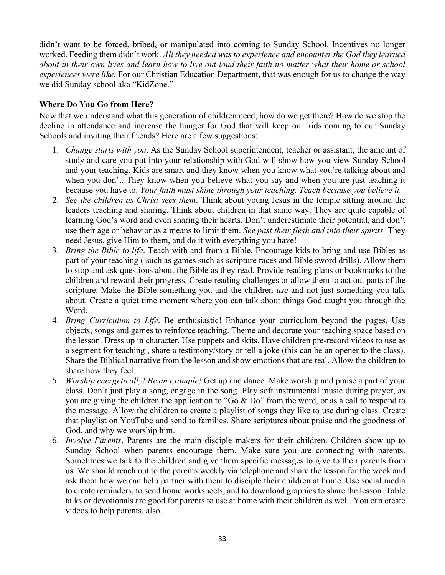didn't want to be forced, bribed, or manipulated into coming to Sunday School. Incentives no longer worked. Feeding them didn't work. *All they needed was to experience and encounter the God they learned about in their own lives and learn how to live out loud their faith no matter what their home or school experiences were like.* For our Christian Education Department, that was enough for us to change the way we did Sunday school aka "KidZone."

### **Where Do You Go from Here?**

Now that we understand what this generation of children need, how do we get there? How do we stop the decline in attendance and increase the hunger for God that will keep our kids coming to our Sunday Schools and inviting their friends? Here are a few suggestions:

- 1. *Change starts with you*. As the Sunday School superintendent, teacher or assistant, the amount of study and care you put into your relationship with God will show how you view Sunday School and your teaching. Kids are smart and they know when you know what you're talking about and when you don't. They know when you believe what you say and when you are just teaching it because you have to. *Your faith must shine through your teaching. Teach because you believe it.*
- 2. *See the children as Christ sees them*. Think about young Jesus in the temple sitting around the leaders teaching and sharing. Think about children in that same way. They are quite capable of learning God's word and even sharing their hearts. Don't underestimate their potential, and don't use their age or behavior as a means to limit them. *See past their flesh and into their spirits.* They need Jesus, give Him to them, and do it with everything you have!
- 3. *Bring the Bible to life*. Teach with and from a Bible. Encourage kids to bring and use Bibles as part of your teaching ( such as games such as scripture races and Bible sword drills). Allow them to stop and ask questions about the Bible as they read. Provide reading plans or bookmarks to the children and reward their progress. Create reading challenges or allow them to act out parts of the scripture. Make the Bible something you and the children *use* and not just something you talk about. Create a quiet time moment where you can talk about things God taught you through the Word.
- 4. *Bring Curriculum to Life*. Be enthusiastic! Enhance your curriculum beyond the pages. Use objects, songs and games to reinforce teaching. Theme and decorate your teaching space based on the lesson. Dress up in character. Use puppets and skits. Have children pre-record videos to use as a segment for teaching , share a testimony/story or tell a joke (this can be an opener to the class). Share the Biblical narrative from the lesson and show emotions that are real. Allow the children to share how they feel.
- 5. *Worship energetically! Be an example!* Get up and dance. Make worship and praise a part of your class. Don't just play a song, engage in the song. Play soft instrumental music during prayer, as you are giving the children the application to "Go & Do" from the word, or as a call to respond to the message. Allow the children to create a playlist of songs they like to use during class. Create that playlist on YouTube and send to families. Share scriptures about praise and the goodness of God, and why we worship him.
- 6. *Involve Parents*. Parents are the main disciple makers for their children. Children show up to Sunday School when parents encourage them. Make sure you are connecting with parents. Sometimes we talk to the children and give them specific messages to give to their parents from us. We should reach out to the parents weekly via telephone and share the lesson for the week and ask them how we can help partner with them to disciple their children at home. Use social media to create reminders, to send home worksheets, and to download graphics to share the lesson. Table talks or devotionals are good for parents to use at home with their children as well. You can create videos to help parents, also.